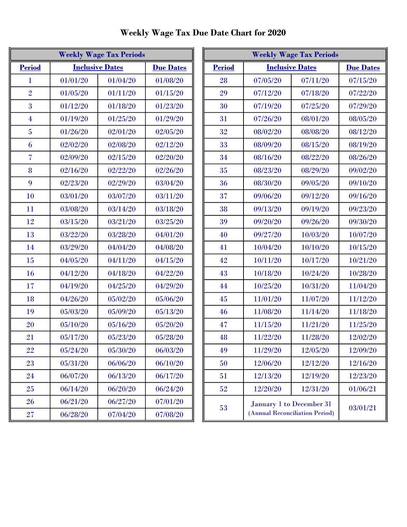| <b>Weekly Wage Tax Periods</b> |                                            |          |          |  |
|--------------------------------|--------------------------------------------|----------|----------|--|
| <b>Period</b>                  | <b>Inclusive Dates</b><br><b>Due Dates</b> |          |          |  |
| $\bf{l}$                       | 01/01/20                                   | 01/04/20 | 01/08/20 |  |
| $\overline{2}$                 | 01/05/20                                   | 01/11/20 | 01/15/20 |  |
| 3                              | 01/12/20                                   | 01/18/20 | 01/23/20 |  |
| $\overline{4}$                 | 01/19/20                                   | 01/25/20 | 01/29/20 |  |
| $\overline{5}$                 | 01/26/20                                   | 02/01/20 | 02/05/20 |  |
| 6                              | 02/02/20                                   | 02/08/20 | 02/12/20 |  |
| $\overline{\mathcal{U}}$       | 02/09/20                                   | 02/15/20 | 02/20/20 |  |
| 8                              | 02/16/20                                   | 02/22/20 | 02/26/20 |  |
| 9                              | 02/23/20                                   | 02/29/20 | 03/04/20 |  |
| 10                             | 03/01/20                                   | 03/07/20 | 03/11/20 |  |
| 11                             | 03/08/20                                   | 03/14/20 | 03/18/20 |  |
| 12                             | 03/15/20                                   | 03/21/20 | 03/25/20 |  |
| 13                             | 03/22/20                                   | 03/28/20 | 04/01/20 |  |
| 14                             | 03/29/20                                   | 04/04/20 | 04/08/20 |  |
| 15                             | 04/05/20                                   | 04/11/20 | 04/15/20 |  |
| 16                             | 04/12/20                                   | 04/18/20 | 04/22/20 |  |
| 17                             | 04/19/20                                   | 04/25/20 | 04/29/20 |  |
| 18                             | 04/26/20                                   | 05/02/20 | 05/06/20 |  |
| 19                             | 05/03/20                                   | 05/09/20 | 05/13/20 |  |
| 20                             | 05/10/20                                   | 05/16/20 | 05/20/20 |  |
| 21                             | 05/17/20                                   | 05/23/20 | 05/28/20 |  |
| 22                             | 05/24/20                                   | 05/30/20 | 06/03/20 |  |
| 23                             | 05/31/20                                   | 06/06/20 | 06/10/20 |  |
| 24                             | 06/07/20                                   | 06/13/20 | 06/17/20 |  |
| 25                             | 06/14/20                                   | 06/20/20 | 06/24/20 |  |
| 26                             | 06/21/20                                   | 06/27/20 | 07/01/20 |  |
| $27\,$                         | 06/28/20                                   | 07/04/20 | 07/08/20 |  |

| <b>Weekly Wage Tax Periods</b> |                        |          | <b>Weekly Wage Tax Periods</b> |               |                                |                          |                  |
|--------------------------------|------------------------|----------|--------------------------------|---------------|--------------------------------|--------------------------|------------------|
| <b>Period</b>                  | <b>Inclusive Dates</b> |          | <b>Due Dates</b>               | <b>Period</b> |                                | <b>Inclusive Dates</b>   | <b>Due Dates</b> |
| 1                              | 01/01/20               | 01/04/20 | 01/08/20                       | 28            | 07/05/20                       | 07/11/20                 | 07/15/20         |
| $\overline{2}$                 | 01/05/20               | 01/11/20 | 01/15/20                       | 29            | 07/12/20                       | 07/18/20                 | 07/22/20         |
| 3                              | 01/12/20               | 01/18/20 | 01/23/20                       | 30            | 07/19/20                       | 07/25/20                 | 07/29/20         |
| 4                              | 01/19/20               | 01/25/20 | 01/29/20                       | 31            | 07/26/20                       | 08/01/20                 | 08/05/20         |
| $\overline{5}$                 | 01/26/20               | 02/01/20 | 02/05/20                       | 32            | 08/02/20                       | 08/08/20                 | 08/12/20         |
| 6                              | 02/02/20               | 02/08/20 | 02/12/20                       | 33            | 08/09/20                       | 08/15/20                 | 08/19/20         |
| 7                              | 02/09/20               | 02/15/20 | 02/20/20                       | 34            | 08/16/20                       | 08/22/20                 | 08/26/20         |
| 8                              | 02/16/20               | 02/22/20 | 02/26/20                       | 35            | 08/23/20                       | 08/29/20                 | 09/02/20         |
| 9                              | 02/23/20               | 02/29/20 | 03/04/20                       | 36            | 08/30/20                       | 09/05/20                 | 09/10/20         |
| 10                             | 03/01/20               | 03/07/20 | 03/11/20                       | 37            | 09/06/20                       | 09/12/20                 | 09/16/20         |
| 11                             | 03/08/20               | 03/14/20 | 03/18/20                       | 38            | 09/13/20                       | 09/19/20                 | 09/23/20         |
| 12                             | 03/15/20               | 03/21/20 | 03/25/20                       | 39            | 09/20/20                       | 09/26/20                 | 09/30/20         |
| 13                             | 03/22/20               | 03/28/20 | 04/01/20                       | 40            | 09/27/20                       | 10/03/20                 | 10/07/20         |
| 14                             | 03/29/20               | 04/04/20 | 04/08/20                       | 41            | 10/04/20                       | 10/10/20                 | 10/15/20         |
| 15                             | 04/05/20               | 04/11/20 | 04/15/20                       | 42            | 10/11/20                       | 10/17/20                 | 10/21/20         |
| <b>16</b>                      | 04/12/20               | 04/18/20 | 04/22/20                       | 43            | 10/18/20                       | 10/24/20                 | 10/28/20         |
| 17                             | 04/19/20               | 04/25/20 | 04/29/20                       | 44            | 10/25/20                       | 10/31/20                 | 11/04/20         |
| 18                             | 04/26/20               | 05/02/20 | 05/06/20                       | $45\,$        | 11/01/20                       | 11/07/20                 | 11/12/20         |
| 19                             | 05/03/20               | 05/09/20 | 05/13/20                       | 46            | 11/08/20                       | 11/14/20                 | 11/18/20         |
| 20                             | 05/10/20               | 05/16/20 | 05/20/20                       | 47            | 11/15/20                       | 11/21/20                 | 11/25/20         |
| 21                             | 05/17/20               | 05/23/20 | 05/28/20                       | 48            | 11/22/20                       | 11/28/20                 | 12/02/20         |
| 22                             | 05/24/20               | 05/30/20 | 06/03/20                       | 49            | 11/29/20                       | 12/05/20                 | 12/09/20         |
| 23                             | 05/31/20               | 06/06/20 | 06/10/20                       | 50            | 12/06/20                       | 12/12/20                 | 12/16/20         |
| 24                             | 06/07/20               | 06/13/20 | 06/17/20                       | 51            | 12/13/20                       | 12/19/20                 | 12/23/20         |
| 25                             | 06/14/20               | 06/20/20 | 06/24/20                       | 52            | 12/20/20                       | 12/31/20                 | 01/06/21         |
| 26                             | 06/21/20               | 06/27/20 | 07/01/20                       |               |                                | January 1 to December 31 |                  |
| 27                             | 06/28/20               | 07/04/20 | 07/08/20                       | 53            | (Annual Reconciliation Period) |                          | 03/01/21         |

Weekly Wage Tax Due Date Chart for 2020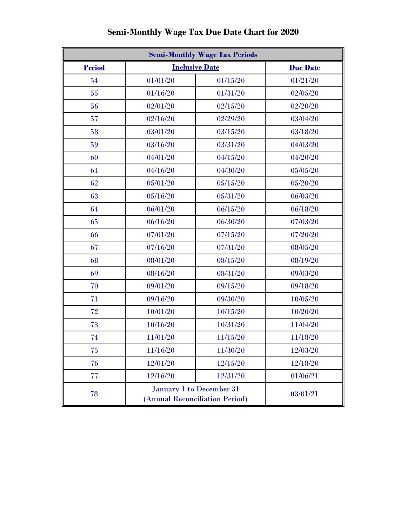| <b>Semi-Monthly Wage Tax Periods</b> |                                                            |                 |          |  |
|--------------------------------------|------------------------------------------------------------|-----------------|----------|--|
| <b>Period</b>                        | <b>Inclusive Date</b>                                      | <b>Due Date</b> |          |  |
| 54                                   | 01/01/20                                                   | 01/15/20        | 01/21/20 |  |
| 55                                   | 01/16/20                                                   | 01/31/20        | 02/05/20 |  |
| 56                                   | 02/01/20                                                   | 02/15/20        | 02/20/20 |  |
| 57                                   | 02/16/20                                                   | 02/29/20        | 03/04/20 |  |
| 58                                   | 03/01/20                                                   | 03/15/20        | 03/18/20 |  |
| 59                                   | 03/16/20                                                   | 03/31/20        | 04/03/20 |  |
| 60                                   | 04/01/20                                                   | 04/15/20        | 04/20/20 |  |
| 61                                   | 04/16/20                                                   | 04/30/20        | 05/05/20 |  |
| 62                                   | 05/01/20                                                   | 05/15/20        | 05/20/20 |  |
| 63                                   | 05/16/20                                                   | 05/31/20        | 06/03/20 |  |
| 64                                   | 06/01/20                                                   | 06/15/20        | 06/18/20 |  |
| 65                                   | 06/16/20                                                   | 06/30/20        | 07/03/20 |  |
| 66                                   | 07/01/20                                                   | 07/15/20        | 07/20/20 |  |
| 67                                   | 07/16/20                                                   | 07/31/20        | 08/05/20 |  |
| 68                                   | 08/01/20                                                   | 08/15/20        | 08/19/20 |  |
| 69                                   | 08/16/20                                                   | 08/31/20        | 09/03/20 |  |
| 70                                   | 09/01/20                                                   | 09/15/20        | 09/18/20 |  |
| 71                                   | 09/16/20                                                   | 09/30/20        | 10/05/20 |  |
| 72                                   | 10/01/20                                                   | 10/15/20        | 10/20/20 |  |
| 73                                   | 10/16/20                                                   | 10/31/20        | 11/04/20 |  |
| 74                                   | 11/01/20                                                   | 11/15/20        | 11/18/20 |  |
| 75                                   | 11/16/20                                                   | 11/30/20        | 12/03/20 |  |
| 76                                   | 12/01/20                                                   | 12/15/20        | 12/18/20 |  |
| 77                                   | 12/16/20                                                   | 12/31/20        | 01/06/21 |  |
| 78                                   | January 1 to December 31<br>(Annual Reconciliation Period) |                 | 03/01/21 |  |

## Semi-Monthly Wage Tax Due Date Chart for 2020